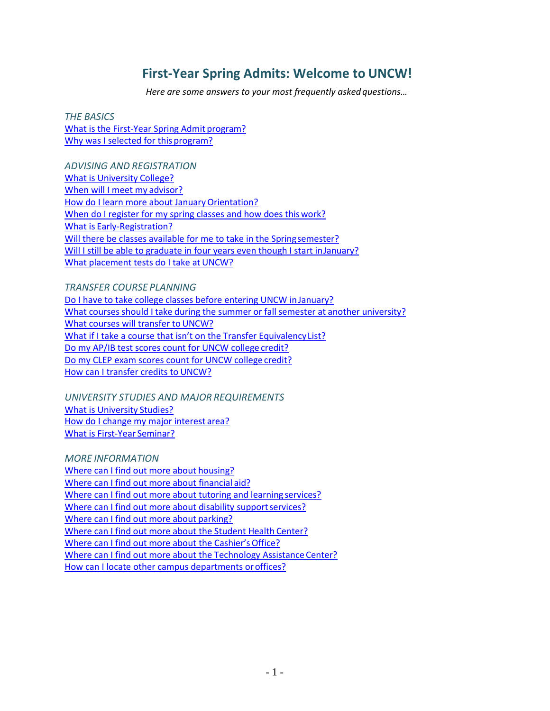# **First-Year Spring Admits: Welcome to UNCW!**

*Here are some answers to your most frequently asked questions…*

*THE BASICS* [What is the First-Year Spring Admit](#page-1-0) program? [Why was I selected for this](#page-1-1) program?

*ADVISING AND REGISTRATION* [What is University](#page-1-2) College? [When will I meet my](#page-1-3) advisor? How do I learn more about January Orientation? When do I register for my spring classes and how does this work? What is [Early-Registration?](#page-2-2) [Will there be classes available for me to take in the Springsemester?](#page-2-3) [Will I still be able to graduate in four years even though I start inJanuary?](#page-2-4) [What placement tests do I take at](#page-2-5) UNCW?

*TRANSFER COURSE PLANNING* [Do I have to take college classes before entering UNCW inJanuary?](#page-3-0) What courses should I take during the summer or fall semester at another [university?](#page-3-1) What courses will transfer to UNCW? [What if I take a course that isn't on the Transfer Equivalency](#page-4-0) List? [Do my AP/IB test scores count for UNCW college](#page-4-1) credit? [Do my CLEP exam scores count for UNCW college](#page-4-2) credit? [How can I transfer credits to](#page-4-3) UNCW?

*UNIVERSITY STUDIES AND MAJOR REQUIREMENTS* [What is University](#page-4-4) Studies? [How do I change my](#page-5-0) major interest area? [What is First-Year](#page-5-1) Seminar?

*MORE INFORMATION* [Where can I find out more about](#page-5-2) housing? [Where can I find out more about financial](#page-5-3) aid? [Where can I find out more about tutoring and learning](#page-5-4) services? [Where can I find out more about disability](#page-5-5) support services? [Where can I find out more about](#page-5-6) parking? [Where can I find out more about the Student Health](#page-5-7) Center? [Where can I find out more about the Cashier's](#page-5-8) Office? Where can I find out more about the Technology Assistance Center? [How can I locate other campus departments oroffices?](#page-5-10)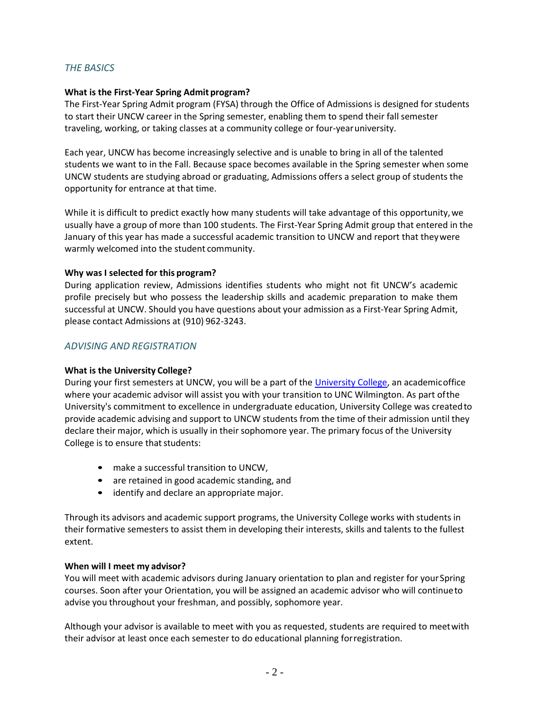## *THE BASICS*

#### <span id="page-1-0"></span>**What is the First-Year Spring Admit program?**

The First-Year Spring Admit program (FYSA) through the Office of Admissions is designed for students to start their UNCW career in the Spring semester, enabling them to spend their fall semester traveling, working, or taking classes at a community college or four-yearuniversity.

Each year, UNCW has become increasingly selective and is unable to bring in all of the talented students we want to in the Fall. Because space becomes available in the Spring semester when some UNCW students are studying abroad or graduating, Admissions offers a select group of students the opportunity for entrance at that time.

While it is difficult to predict exactly how many students will take advantage of this opportunity, we usually have a group of more than 100 students. The First-Year Spring Admit group that entered in the January of this year has made a successful academic transition to UNCW and report that theywere warmly welcomed into the student community.

### <span id="page-1-1"></span>**Why was I selected for this program?**

During application review, Admissions identifies students who might not fit UNCW's academic profile precisely but who possess the leadership skills and academic preparation to make them successful at UNCW. Should you have questions about your admission as a First-Year Spring Admit, please contact Admissions at (910) 962-3243.

## *ADVISING AND REGISTRATION*

## <span id="page-1-2"></span>**What is the University College?**

During your first semesters at UNCW, you will be a part of th[e University College,](http://www.uncw.edu/uc) an academicoffice where your academic advisor will assist you with your transition to UNC Wilmington. As part ofthe University's commitment to excellence in undergraduate education, University College was createdto provide academic advising and support to UNCW students from the time of their admission until they declare their major, which is usually in their sophomore year. The primary focus of the University College is to ensure that students:

- make a successful transition to UNCW,
- are retained in good academic standing, and
- identify and declare an appropriate major.

Through its advisors and academic support programs, the University College works with students in their formative semesters to assist them in developing their interests, skills and talents to the fullest extent.

#### <span id="page-1-3"></span>**When will I meet my advisor?**

You will meet with academic advisors during January orientation to plan and register for your Spring courses. Soon after your Orientation, you will be assigned an academic advisor who will continueto advise you throughout your freshman, and possibly, sophomore year.

Although your advisor is available to meet with you as requested, students are required to meetwith their advisor at least once each semester to do educational planning forregistration.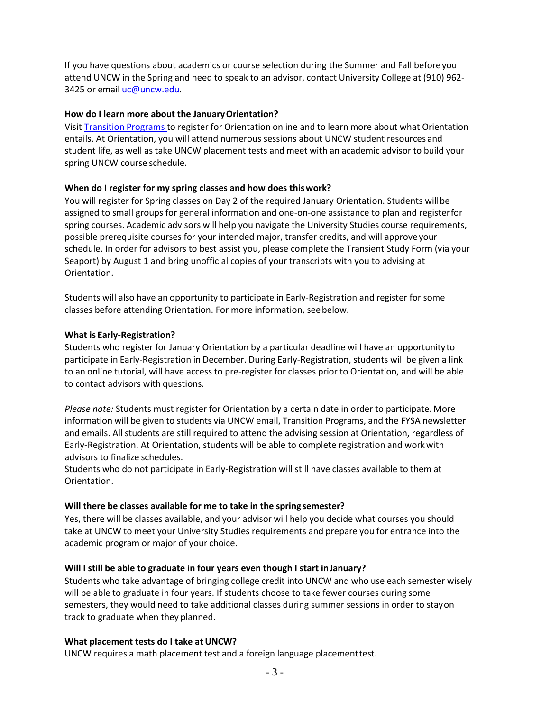If you have questions about academics or course selection during the Summer and Fall beforeyou attend UNCW in the Spring and need to speak to an advisor, contact University College at (910) 962 3425 or email [uc@uncw.edu.](mailto:uc@uncw.edu)

#### <span id="page-2-0"></span>**How do I learn more about the JanuaryOrientation?**

Visit [Transition](http://www.uncw.edu/transitions/) Programs to register for Orientation online and to learn more about what Orientation entails. At Orientation, you will attend numerous sessions about UNCW student resources and student life, as well as take UNCW placement tests and meet with an academic advisor to build your spring UNCW course schedule.

### <span id="page-2-1"></span>**When do I register for my spring classes and how does thiswork?**

You will register for Spring classes on Day 2 of the required January Orientation. Students willbe assigned to small groups for general information and one-on-one assistance to plan and registerfor spring courses. Academic advisors will help you navigate the University Studies course requirements, possible prerequisite courses for your intended major, transfer credits, and will approveyour schedule. In order for advisors to best assist you, please complete the Transient Study Form (via your Seaport) by August 1 and bring unofficial copies of your transcripts with you to advising at Orientation.

Students will also have an opportunity to participate in Early-Registration and register for some classes before attending Orientation. For more information, seebelow.

#### <span id="page-2-2"></span>**What is Early-Registration?**

Students who register for January Orientation by a particular deadline will have an opportunityto participate in Early-Registration in December. During Early-Registration, students will be given a link to an online tutorial, will have access to pre-register for classes prior to Orientation, and will be able to contact advisors with questions.

*Please note:* Students must register for Orientation by a certain date in order to participate. More information will be given to students via UNCW email, Transition Programs, and the FYSA newsletter and emails. All students are still required to attend the advising session at Orientation, regardless of Early-Registration. At Orientation, students will be able to complete registration and workwith advisors to finalize schedules.

Students who do not participate in Early-Registration will still have classes available to them at Orientation.

#### <span id="page-2-3"></span>**Will there be classes available for me to take in the spring semester?**

Yes, there will be classes available, and your advisor will help you decide what courses you should take at UNCW to meet your University Studies requirements and prepare you for entrance into the academic program or major of your choice.

## <span id="page-2-4"></span>**Will I still be able to graduate in four years even though I start inJanuary?**

Students who take advantage of bringing college credit into UNCW and who use each semester wisely will be able to graduate in four years. If students choose to take fewer courses during some semesters, they would need to take additional classes during summer sessions in order to stayon track to graduate when they planned.

#### <span id="page-2-5"></span>**What placement tests do I take at UNCW?**

UNCW requires a math placement test and a foreign language placementtest.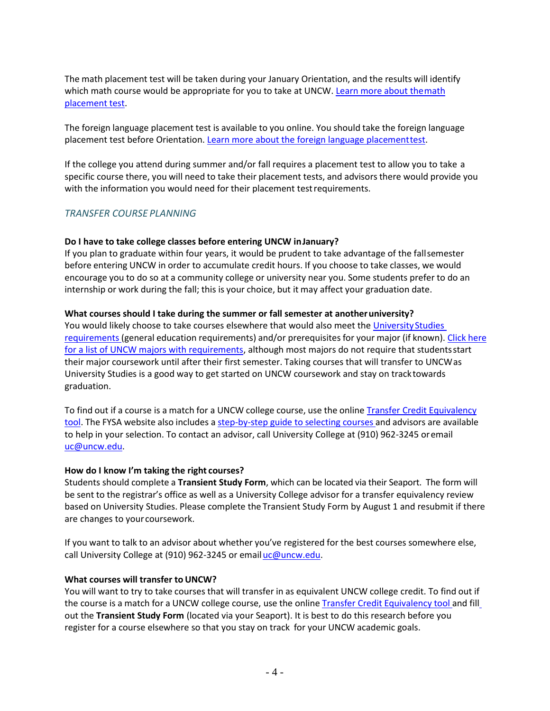The math placement test will be taken during your January Orientation, and the results will identify which math course would be appropriate for you to take at UNCW. Learn more about the math [placement](http://uncw.edu/math/placement.html) test.

The foreign language placement test is available to you online. You should take the foreign language placement test before Orientation[. Learn more about the foreign language placementtest.](http://uncw.edu/fll/FLLPlacementtest.html)

If the college you attend during summer and/or fall requires a placement test to allow you to take a specific course there, you will need to take their placement tests, and advisors there would provide you with the information you would need for their placement test requirements.

### *TRANSFER COURSE PLANNING*

#### <span id="page-3-0"></span>**Do I have to take college classes before entering UNCW inJanuary?**

If you plan to graduate within four years, it would be prudent to take advantage of the fallsemester before entering UNCW in order to accumulate credit hours. If you choose to take classes, we would encourage you to do so at a community college or university near you. Some students prefer to do an internship or work during the fall; this is your choice, but it may affect your graduation date.

### <span id="page-3-1"></span>**What courses should I take during the summer or fall semester at anotheruniversity?**

You would likely choose to take courses elsewhere that would also meet the University Studies [requirements](http://uncw.edu/uc/advising/unistudies.html) (general education requirements) and/or prerequisites for your major (if known). Click [here](http://uncw.edu/uc/advising/degrees.html) [for a list of UNCW majors with requirements,](http://uncw.edu/uc/advising/degrees.html) although most majors do not require that studentsstart their major coursework until after their first semester. Taking courses that will transfer to UNCWas University Studies is a good way to get started on UNCW coursework and stay on tracktowards graduation.

To find out if a course is a match for a UNCW college course, use the online Transfer Credit [Equivalency](http://appserv02.uncw.edu/dasapps/transfer_articulation/) [tool.](http://appserv02.uncw.edu/dasapps/transfer_articulation/) The FYSA website also includes a [step-by-step](http://uncw.edu/uc/fysa/courses.html) guide to selecting courses and advisors are available to help in your selection. To contact an advisor, call University College at (910) 962-3245 oremail [uc@uncw.edu.](mailto:uc@uncw.edu)

#### **How do I know I'm taking the right courses?**

Students should complete a **Transient Study Form**, which can be located via their Seaport. The form will be sent to the registrar's office as well as a University College advisor for a transfer equivalency review based on University Studies. Please complete the Transient Study Form by August 1 and resubmit if there are changes to your coursework.

If you want to talk to an advisor about whether you've registered for the best courses somewhere else, call University College at (910) 962-3245 or email uc@uncw.edu.

#### <span id="page-3-2"></span>**What courses will transfer to UNCW?**

You will want to try to take courses that will transfer in as equivalent UNCW college credit. To find out if the course is a match for a UNCW college course, use the online Transfer Credit [Equivalency](http://transfer-articulation.uncw.edu/) tool and fill out the **Transient Study Form** (located via your Seaport). It is best to do this research before you register for a course elsewhere so that you stay on track for your UNCW academic goals.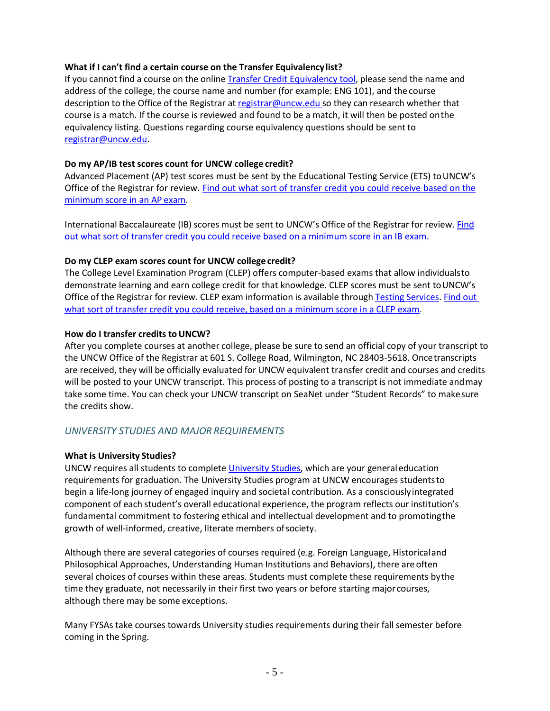### <span id="page-4-0"></span>**What if I can't find a certain course on the Transfer Equivalencylist?**

If you cannot find a course on the online Transfer [Credit Equivalency](http://appserv02.uncw.edu/dasapps/transfer_articulation/) tool, please send the name and address of the college, the course name and number (for example: ENG 101), and the course description to the Office of the Registrar at [registrar@uncw.edu](mailto:registrar@uncw.edu) so they can research whether that course is a match. If the course is reviewed and found to be a match, it will then be posted onthe equivalency listing. Questions regarding course equivalency questions should be sent to [registrar@uncw.edu.](mailto:registrar@uncw.edu)

### <span id="page-4-1"></span>**Do my AP/IB test scores count for UNCW college credit?**

Advanced Placement (AP) test scores must be sent by the Educational Testing Service (ETS) toUNCW's Office of the Registrar for review. Find out what sort of [transfer](http://www.uncw.edu/reg/transfercredit-examAP.htm) credit you could receive based on the [minimum score in an AP](http://www.uncw.edu/reg/transfercredit-examAP.htm) exam.

International Baccalaureate (IB) scores must be sent to UNCW's Office of the Registrar for review[. Find](http://www.uncw.edu/reg/transfercredit-examHLIB.htm) out what sort of transfer credit you could receive based on a [minimum](http://www.uncw.edu/reg/transfercredit-examHLIB.htm) score in an IB exam.

### <span id="page-4-2"></span>**Do my CLEP exam scores count for UNCW college credit?**

The College Level Examination Program (CLEP) offers computer-based exams that allow individualsto demonstrate learning and earn college credit for that knowledge. CLEP scores must be sent toUNCW's Office of the Registrar for review. CLEP exam information is available through Testing [Services.](http://uncw.edu/testingservices/national/clep.html) [Find](http://www.uncw.edu/reg/transfercredit-examCLEP.htm) out what sort of transfer credit you could receive, based on a minimum score in a [CLEP exam.](http://www.uncw.edu/reg/transfercredit-examCLEP.htm)

### <span id="page-4-3"></span>How do I transfer credits to UNCW?

After you complete courses at another college, please be sure to send an official copy of your transcript to the UNCW Office of the Registrar at 601 S. College Road, Wilmington, NC 28403-5618. Oncetranscripts are received, they will be officially evaluated for UNCW equivalent transfer credit and courses and credits will be posted to your UNCW transcript. This process of posting to a transcript is not immediate andmay take some time. You can check your UNCW transcript on SeaNet under "Student Records" to makesure the credits show.

## *UNIVERSITY STUDIES AND MAJOR REQUIREMENTS*

## <span id="page-4-4"></span>**What is University Studies?**

UNCW requires all students to complet[e University Studies,](http://uncw.edu/uc/advising/unistudies.html) which are your generaleducation requirements for graduation. The University Studies program at UNCW encourages studentsto begin a life-long journey of engaged inquiry and societal contribution. As a consciouslyintegrated component of each student's overall educational experience, the program reflects our institution's fundamental commitment to fostering ethical and intellectual development and to promotingthe growth of well-informed, creative, literate members ofsociety.

Although there are several categories of courses required (e.g. Foreign Language, Historicaland Philosophical Approaches, Understanding Human Institutions and Behaviors), there are often several choices of courses within these areas. Students must complete these requirements bythe time they graduate, not necessarily in their first two years or before starting major courses, although there may be some exceptions.

Many FYSAs take courses towards University studies requirements during their fall semester before coming in the Spring.